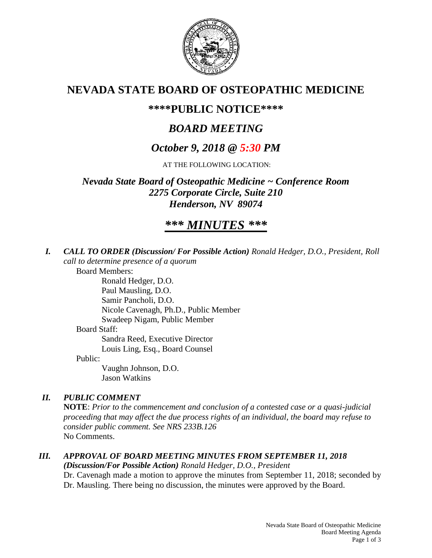

# **NEVADA STATE BOARD OF OSTEOPATHIC MEDICINE**

# **\*\*\*\*PUBLIC NOTICE\*\*\*\***

# *BOARD MEETING*

# *October 9, 2018 @ 5:30 PM*

AT THE FOLLOWING LOCATION:

*Nevada State Board of Osteopathic Medicine ~ Conference Room 2275 Corporate Circle, Suite 210 Henderson, NV 89074*

# *\*\*\* MINUTES \*\*\**

*I. CALL TO ORDER (Discussion/ For Possible Action) Ronald Hedger, D.O., President, Roll call to determine presence of a quorum*

Board Members:

Ronald Hedger, D.O. Paul Mausling, D.O. Samir Pancholi, D.O. Nicole Cavenagh, Ph.D., Public Member Swadeep Nigam, Public Member Board Staff: Sandra Reed, Executive Director Louis Ling, Esq., Board Counsel

Public:

Vaughn Johnson, D.O. Jason Watkins

## *II. PUBLIC COMMENT*

**NOTE**: *Prior to the commencement and conclusion of a contested case or a quasi-judicial proceeding that may affect the due process rights of an individual, the board may refuse to consider public comment. See NRS 233B.126* No Comments.

# *III. APPROVAL OF BOARD MEETING MINUTES FROM SEPTEMBER 11, 2018*

*(Discussion/For Possible Action) Ronald Hedger, D.O., President*

Dr. Cavenagh made a motion to approve the minutes from September 11, 2018; seconded by Dr. Mausling. There being no discussion, the minutes were approved by the Board.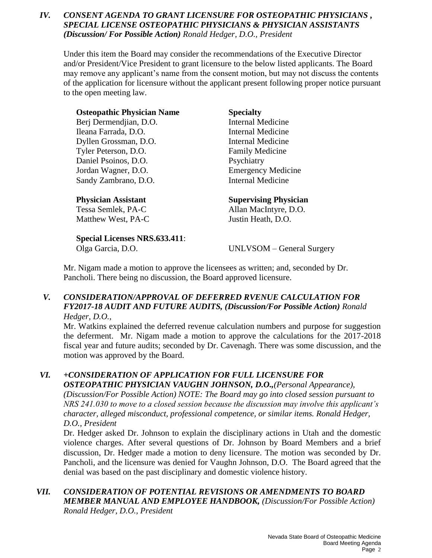## *IV. CONSENT AGENDA TO GRANT LICENSURE FOR OSTEOPATHIC PHYSICIANS , SPECIAL LICENSE OSTEOPATHIC PHYSICIANS & PHYSICIAN ASSISTANTS (Discussion/ For Possible Action) Ronald Hedger, D.O., President*

Under this item the Board may consider the recommendations of the Executive Director and/or President/Vice President to grant licensure to the below listed applicants. The Board may remove any applicant's name from the consent motion, but may not discuss the contents of the application for licensure without the applicant present following proper notice pursuant to the open meeting law.

| <b>Osteopathic Physician Name</b>    | <b>Specialty</b>             |
|--------------------------------------|------------------------------|
| Berj Dermendjian, D.O.               | <b>Internal Medicine</b>     |
| Ileana Farrada, D.O.                 | Internal Medicine            |
| Dyllen Grossman, D.O.                | Internal Medicine            |
| Tyler Peterson, D.O.                 | <b>Family Medicine</b>       |
| Daniel Psoinos, D.O.                 | Psychiatry                   |
| Jordan Wagner, D.O.                  | <b>Emergency Medicine</b>    |
| Sandy Zambrano, D.O.                 | Internal Medicine            |
| <b>Physician Assistant</b>           | <b>Supervising Physician</b> |
| Tessa Semlek, PA-C                   | Allan MacIntyre, D.O.        |
| Matthew West, PA-C                   | Justin Heath, D.O.           |
| <b>Special Licenses NRS.633.411:</b> |                              |
| Olga Garcia, D.O.                    | UNLVSOM – General Surgery    |

Mr. Nigam made a motion to approve the licensees as written; and, seconded by Dr. Pancholi. There being no discussion, the Board approved licensure.

### *V. CONSIDERATION/APPROVAL OF DEFERRED RVENUE CALCULATION FOR FY2017-18 AUDIT AND FUTURE AUDITS, (Discussion/For Possible Action) Ronald Hedger, D.O.,*

Mr. Watkins explained the deferred revenue calculation numbers and purpose for suggestion the deferment. Mr. Nigam made a motion to approve the calculations for the 2017-2018 fiscal year and future audits; seconded by Dr. Cavenagh. There was some discussion, and the motion was approved by the Board.

## *VI. +CONSIDERATION OF APPLICATION FOR FULL LICENSURE FOR OSTEOPATHIC PHYSICIAN VAUGHN JOHNSON, D.O.,(Personal Appearance),*

*(Discussion/For Possible Action) NOTE: The Board may go into closed session pursuant to NRS 241.030 to move to a closed session because the discussion may involve this applicant's character, alleged misconduct, professional competence, or similar items. Ronald Hedger, D.O., President* 

Dr. Hedger asked Dr. Johnson to explain the disciplinary actions in Utah and the domestic violence charges. After several questions of Dr. Johnson by Board Members and a brief discussion, Dr. Hedger made a motion to deny licensure. The motion was seconded by Dr. Pancholi, and the licensure was denied for Vaughn Johnson, D.O. The Board agreed that the denial was based on the past disciplinary and domestic violence history.

## *VII. CONSIDERATION OF POTENTIAL REVISIONS OR AMENDMENTS TO BOARD MEMBER MANUAL AND EMPLOYEE HANDBOOK, (Discussion/For Possible Action) Ronald Hedger, D.O., President*